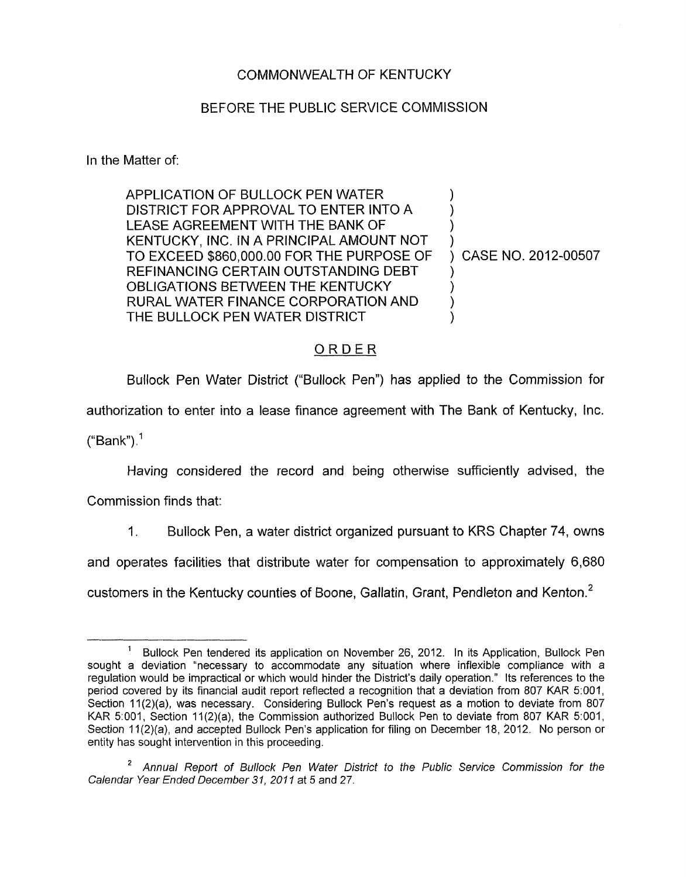## COMMONWEALTH OF KENTUCKY

## BEFORE THE PUBLIC SERVICE COMMISSION

In the Matter of:

APPLICATION OF BULLOCK PEN WATER DISTRICT FOR APPROVAL TO ENTER INTO A LEASE AGREEMENT WITH THE BANK OF KENTUCKY, INC. IN A PRINCIPAL AMOUNT NOT TO EXCEED \$860,000.00 FOR THE PURPOSE OF REFINANCING CERTAIN OUTSTANDING DEBT OBLIGATIONS BETWEEN THE KENTUCKY RURAL WATER FINANCE CORPORATION AND THE BULLOCK PEN WATER DISTRICT

) CASE NO. 2012-00507

1 )  $\big)$ )

> ) ) ) )

## ORDER

Bullock Pen Water District ("Bullock Pen") has applied to the Commission for authorization to enter into a lease finance agreement with The Bank of Kentucky, Inc. ("Bank").<sup>1</sup>

Having considered the record and being otherwise sufficiently advised, the

Commission finds that:

1. Bullock Pen, a water district organized pursuant to KRS Chapter 74, owns

and operates facilities that distribute water for compensation to approximately 6,680

customers in the Kentucky counties of Boone, Gallatin, Grant, Pendleton and Kenton.'

Bullock Pen tendered its application on November 26, 2012. In its Application, Bullock Pen sought a deviation "necessary to accommodate any situation where inflexible compliance with a regulation would be impractical or which would hinder the District's daily operation." Its references to the period covered by its financial audit report reflected a recognition that a deviation from 807 KAR 5:001, Section 11(2)(a), was necessary. Considering Bullock Pen's request as a motion to deviate from 807 KAR 5:001, Section 11(2)(a), the Commission authorized Bullock Pen to deviate from 807 KAR 5:001, Section 11(2)(a), and accepted Bullock Pen's application for filing on December 18, 2012. No person or entity has sought intervention in this proceeding. **1** 

*Annual Report of Bullock Pen Water Districf to the Public Service Commission for the*  **2** *Calendar Year Ended December 31,201 I* at 5 and 27.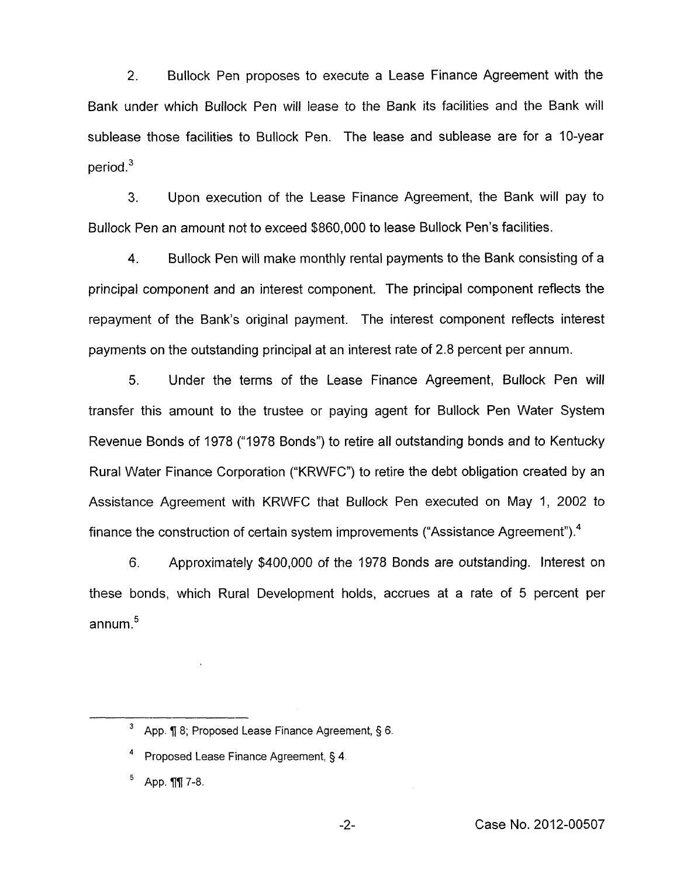2. Bullock Pen proposes to execute a Lease Finance Agreement with the Bank under which Bullock Pen will lease to the Bank its facilities and the Bank will sublease those facilities to Bullock Pen. The lease and sublease are for a IO-year period **.3** 

**3.** Upon execution of the Lease Finance Agreement, the Bank will pay to Bullock Pen an amount not to exceed \$860,000 to lease Bullock Pen's facilities.

**4.** Bullock Pen will make monthly rental payments to the Bank consisting of a principal component and an interest component. The principal component reflects the repayment of the Bank's original payment. The interest component reflects interest payments on the outstanding principal at an interest rate of 2.8 percent per annum.

5. Under the terms of the Lease Finance Agreement, Bullock Pen will transfer this amount to the trustee or paying agent for Bullock Pen Water System Revenue Bonds of 1978 ("1978 Bonds") to retire all outstanding bonds and to Kentucky Rural Water Finance Corporation ("KRWFC") to retire the debt obligation created by an Assistance Agreement with KRWFC that Bullock Pen executed on May 1, 2002 to finance the construction of certain system improvements ("Assistance Agreement").4

6. Approximately \$400,000 of the 1978 Bonds are outstanding. Interest on these bonds, which Rural Development holds, accrues at a rate of *5* percent per annum. $5$ 

App. ¶ 8; Proposed Lease Finance Agreement, § 6. **3** 

Proposed Lease Finance Agreement, 5 **4 4** 

App. **11** 7-8.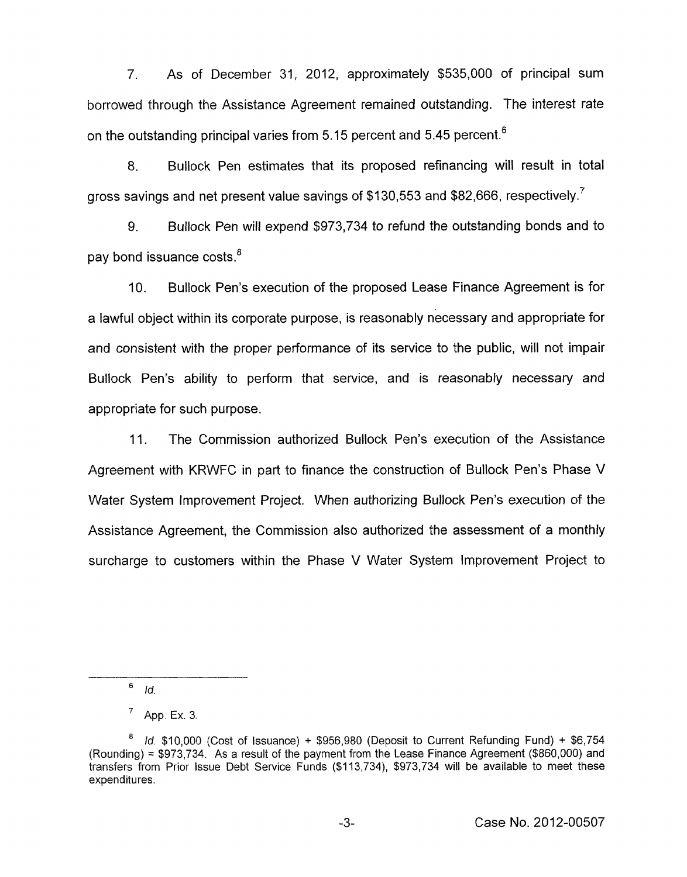7. As of December 31, 2012, approximately \$535,000 of principal sum borrowed through the Assistance Agreement remained outstanding. The interest rate on the outstanding principal varies from 5.15 percent and 5.45 percent.<sup>6</sup>

8. Bullock Pen estimates that its proposed refinancing will result in total gross savings and net present value savings of \$130,553 and \$82,666, respectively.<sup>7</sup>

9. Bullock Pen will expend \$973,734 to refund the outstanding bonds and to pay bond issuance costs. $<sup>8</sup>$ </sup>

IO. Bullock Pen's execution of the proposed Lease Finance Agreement is for a lawful object within its corporate purpose, is reasonably necessary and appropriate for and consistent with the proper performance of its service to the public, will not impair Bullock Pen's ability to perform that service, and is reasonably necessary and appropriate for such purpose.

11. The Commission authorized Bullock Pen's execution of the Assistance Agreement with KRWFC in part to finance the construction of Bullock Pen's Phase V Water System Improvement Project. When authorizing Bullock Pen's execution of the Assistance Agreement, the Commission also authorized the assessment of a monthly surcharge to customers within the Phase V Water System Improvement Project to

<sup>6</sup> *Id.* 

App. Ex. 3. 7

*Id.* \$10,000 (Cost of Issuance) + \$956,980 (Deposit to Current Refunding Fund) + \$6,754 (Rounding) = \$973,734. As a result of the payment from the Lease Finance Agreement (\$860,000) and transfers from Prior Issue Debt Service Funds (\$113,734), \$973,734 will be available to meet these expenditures. **8**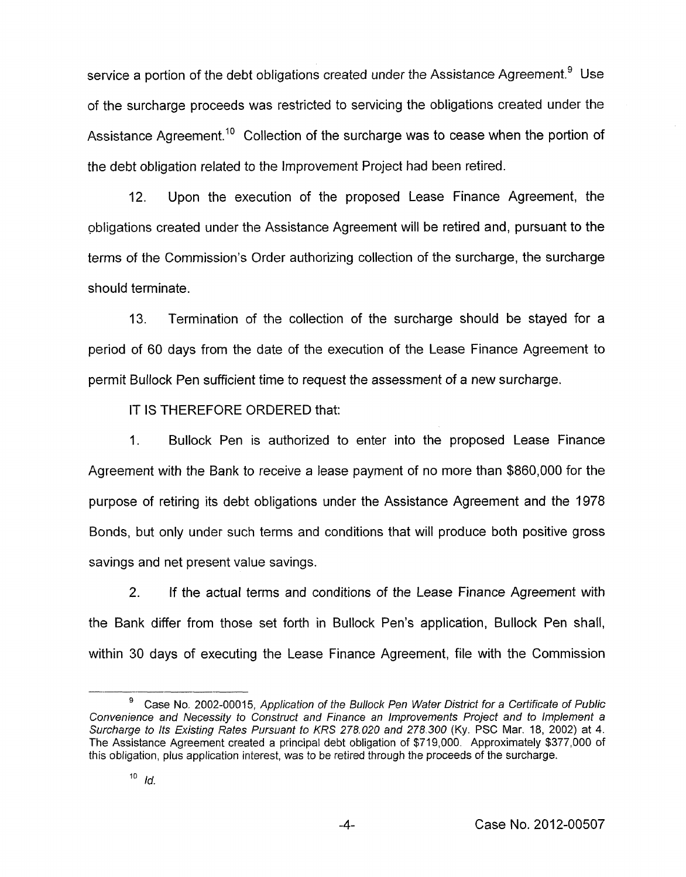service a portion of the debt obligations created under the Assistance Agreement.<sup>9</sup> Use of the surcharge proceeds was restricted to servicing the obligations created under the Assistance Agreement.<sup>10</sup> Collection of the surcharge was to cease when the portion of the debt obligation related to the Improvement Project had been retired.

12. Upon the execution of the proposed Lease Finance Agreement, the obligations created under the Assistance Agreement will be retired and, pursuant to the terms of the Commission's Order authorizing collection of the surcharge, the surcharge should terminate.

13. Termination of the collection of the surcharge should be stayed for a period of 60 days from the date of the execution of the Lease Finance Agreement to permit Bullock Pen sufficient time to request the assessment of a new surcharge.

IT **IS** THEREFORE ORDERED that:

1. Bullock Pen is authorized to enter into the proposed Lease Finance Agreement with the Bank to receive a lease payment of no more than \$860,000 for the purpose of retiring its debt obligations under the Assistance Agreement and the 1978 Bonds, but only under such terms and conditions that will produce both positive gross savings and net present value savings.

2. If the actual terms and conditions of the Lease Finance Agreement with the Bank differ from those set forth in Bullock Pen's application, Bullock Pen shall, within 30 days of executing the Lease Finance Agreement, file with the Commission

Case **No..** 2002-00015, *Application of the Bullock Pen Wafer Disfricf for a Certificate of Public Convenience and Necessity to Construct and Finance an lmprovements Projecf and to lmplemenf a Surcharge to Its Existing Rates Pursuant to KRS 278.020 and 278.300* (Ky. PSC Mar. 18, 2002) at **4.**  The Assistance Agreement created a principal debt obligation of \$719,000. Approximately \$377,000 of this obligation, plus application interest, was to be retired through the proceeds of the surcharge. **9**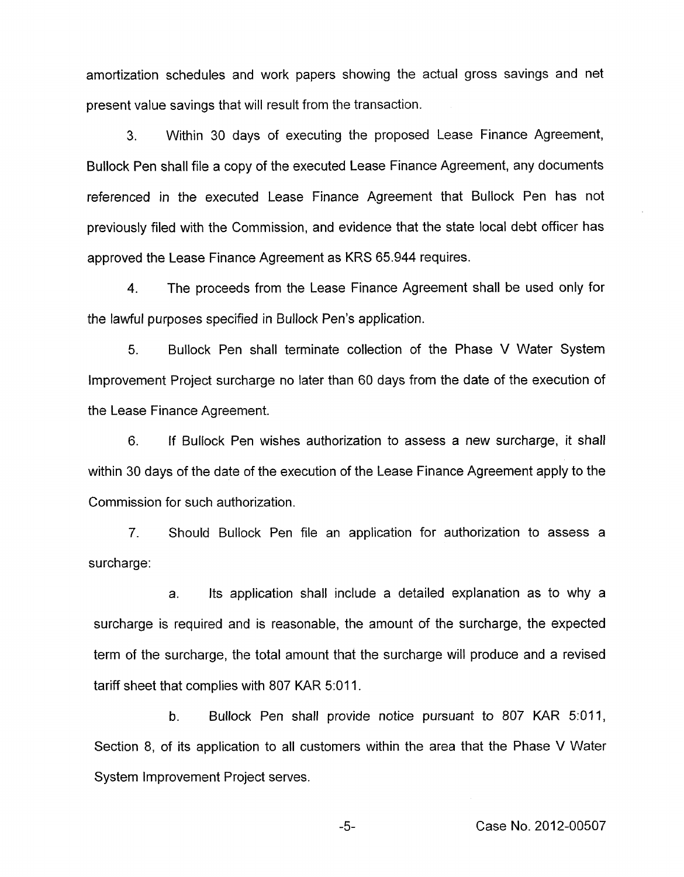amortization schedules and work papers showing the actual gross savings and net present value savings that will result from the transaction.

*3.* Within 30 days of executing the proposed Lease Finance Agreement, Bullock Pen shall file a copy of the executed Lease Finance Agreement, any documents referenced in the executed Lease Finance Agreement that Bullock Pen has not previously filed with the Commission, and evidence that the state local debt officer has approved the Lease Finance Agreement as KRS 65.944 requires.

**4.** The proceeds from the Lease Finance Agreement shall be used only for the lawful purposes specified in Bullock Pen's application.

5. Bullock Pen shall terminate collection of the Phase V Water System Improvement Project surcharge no later than 60 days from the date of the execution of the Lease Finance Agreement.

6. If Bullock Pen wishes authorization to assess a new surcharge, it shall within 30 days of the date of the execution of the Lease Finance Agreement apply to the Commission for such authorization.

7. Should Bullock Pen file an application for authorization to assess a surcharge:

a. Its application shall include a detailed explanation as to why a surcharge is required and is reasonable, the amount of the surcharge, the expected term of the surcharge, the total amount that the surcharge will produce and a revised tariff sheet that complies with 807 KAR 5:011.

**b.** Bullock Pen shall provide notice pursuant to 807 KAR 5:011, Section 8, of its application to all customers within the area that the Phase V Water System Improvement Project serves.

-5- Case No. 2012-00507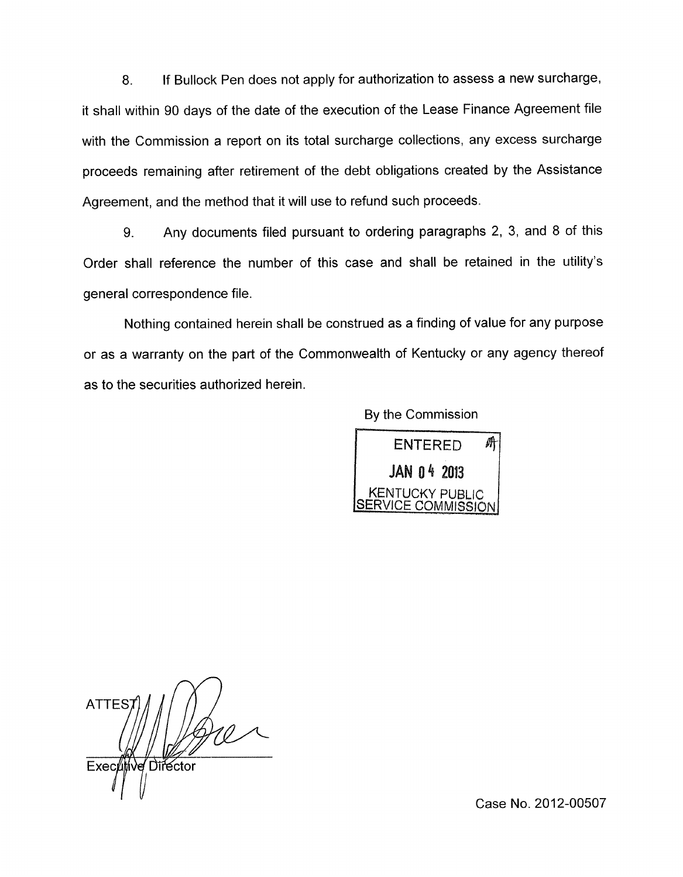8. If Bullock Pen does not apply for authorization to assess a new surcharge, it shall within 90 days of the date of the execution of the Lease Finance Agreement file with the Commission a report on its total surcharge collections, any excess surcharge proceeds remaining after retirement of the debt obligations created by the Assistance Agreement, and the method that it will use to refund such proceeds.

9. Any documents filed pursuant to ordering paragraphs 2, 3, and 8 of this Order shall reference the number of this case and shall be retained in the utility's general correspondence file.

Nothing contained herein shall be construed as a finding of value for any purpose or as a warranty on the part of the Commonwealth of Kentucky or any agency thereof as to the securities authorized herein.

By the Commission



**ATTES** Director Executtive

Case No. 2012-00507